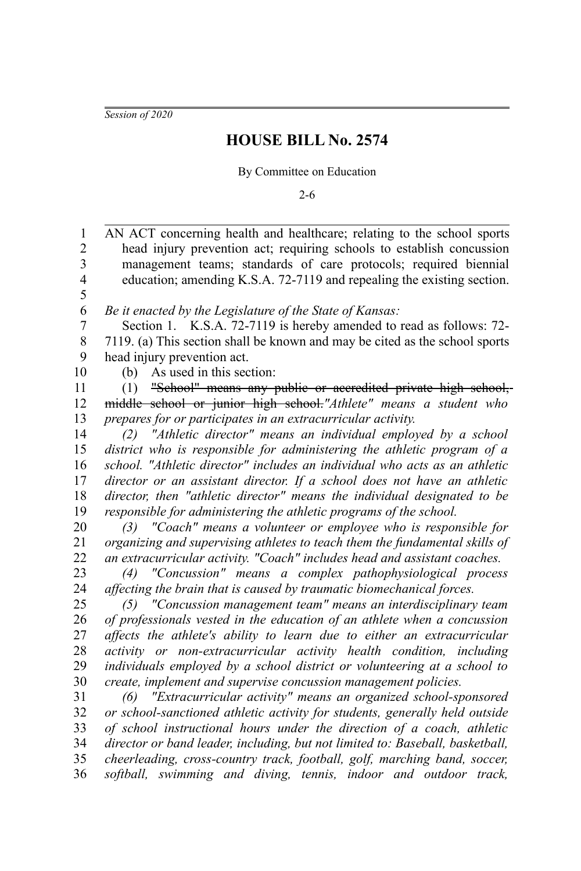*Session of 2020*

1

## **HOUSE BILL No. 2574**

By Committee on Education

2-6

AN ACT concerning health and healthcare; relating to the school sports

head injury prevention act; requiring schools to establish concussion management teams; standards of care protocols; required biennial education; amending K.S.A. 72-7119 and repealing the existing section. *Be it enacted by the Legislature of the State of Kansas:* Section 1. K.S.A. 72-7119 is hereby amended to read as follows: 72- 7119. (a) This section shall be known and may be cited as the school sports head injury prevention act. (b) As used in this section: (1) "School" means any public or accredited private high school, middle school or junior high school.*"Athlete" means a student who prepares for or participates in an extracurricular activity. (2) "Athletic director" means an individual employed by a school district who is responsible for administering the athletic program of a school. "Athletic director" includes an individual who acts as an athletic director or an assistant director. If a school does not have an athletic director, then "athletic director" means the individual designated to be responsible for administering the athletic programs of the school. (3) "Coach" means a volunteer or employee who is responsible for organizing and supervising athletes to teach them the fundamental skills of an extracurricular activity. "Coach" includes head and assistant coaches. (4) "Concussion" means a complex pathophysiological process affecting the brain that is caused by traumatic biomechanical forces. (5) "Concussion management team" means an interdisciplinary team of professionals vested in the education of an athlete when a concussion affects the athlete's ability to learn due to either an extracurricular activity or non-extracurricular activity health condition, including individuals employed by a school district or volunteering at a school to create, implement and supervise concussion management policies. (6) "Extracurricular activity" means an organized school-sponsored or school-sanctioned athletic activity for students, generally held outside of school instructional hours under the direction of a coach, athletic director or band leader, including, but not limited to: Baseball, basketball, cheerleading, cross-country track, football, golf, marching band, soccer, softball, swimming and diving, tennis, indoor and outdoor track,* 2 3 4 5 6 7 8 9 10 11 12 13 14 15 16 17 18 19 20 21 22 23 24 25 26 27 28 29 30 31 32 33 34 35 36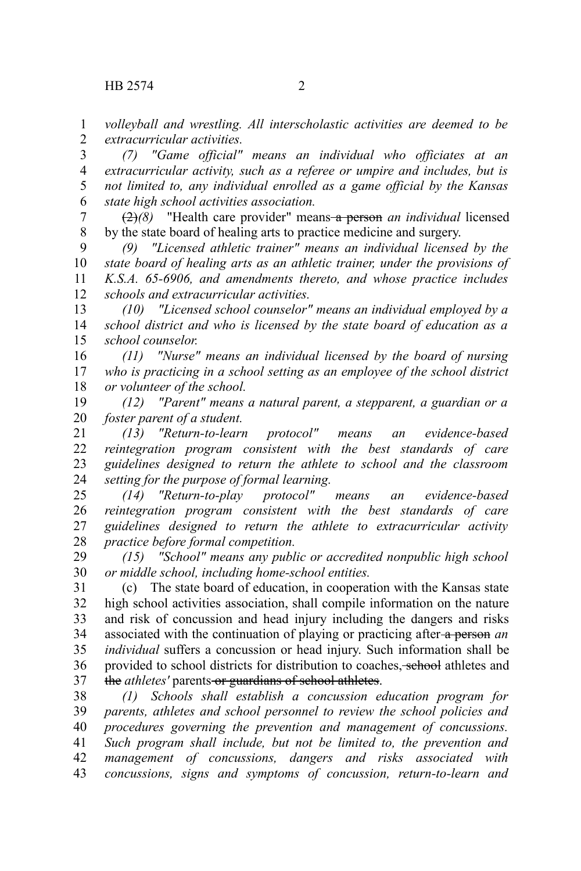*volleyball and wrestling. All interscholastic activities are deemed to be extracurricular activities.* 1 2

*(7) "Game official" means an individual who officiates at an extracurricular activity, such as a referee or umpire and includes, but is not limited to, any individual enrolled as a game official by the Kansas state high school activities association.* 3 4 5 6

(2)*(8)* "Health care provider" means a person *an individual* licensed by the state board of healing arts to practice medicine and surgery. 7 8

*(9) "Licensed athletic trainer" means an individual licensed by the state board of healing arts as an athletic trainer, under the provisions of K.S.A. 65-6906, and amendments thereto, and whose practice includes schools and extracurricular activities.* 9 10 11 12

*(10) "Licensed school counselor" means an individual employed by a school district and who is licensed by the state board of education as a school counselor.* 13 14 15

*(11) "Nurse" means an individual licensed by the board of nursing who is practicing in a school setting as an employee of the school district or volunteer of the school.* 16 17 18

*(12) "Parent" means a natural parent, a stepparent, a guardian or a foster parent of a student.* 19 20

*(13) "Return-to-learn protocol" means an evidence-based reintegration program consistent with the best standards of care guidelines designed to return the athlete to school and the classroom setting for the purpose of formal learning.* 21 22 23 24

*(14) "Return-to-play protocol" means an evidence-based reintegration program consistent with the best standards of care guidelines designed to return the athlete to extracurricular activity practice before formal competition.* 25 26 27 28

*(15) "School" means any public or accredited nonpublic high school or middle school, including home-school entities.* 29 30

(c) The state board of education, in cooperation with the Kansas state high school activities association, shall compile information on the nature and risk of concussion and head injury including the dangers and risks associated with the continuation of playing or practicing after a person *an individual* suffers a concussion or head injury. Such information shall be provided to school districts for distribution to coaches, school athletes and the *athletes'* parents-or guardians of school athletes. 31 32 33 34 35 36 37

*(1) Schools shall establish a concussion education program for parents, athletes and school personnel to review the school policies and procedures governing the prevention and management of concussions. Such program shall include, but not be limited to, the prevention and management of concussions, dangers and risks associated with concussions, signs and symptoms of concussion, return-to-learn and* 38 39 40 41 42 43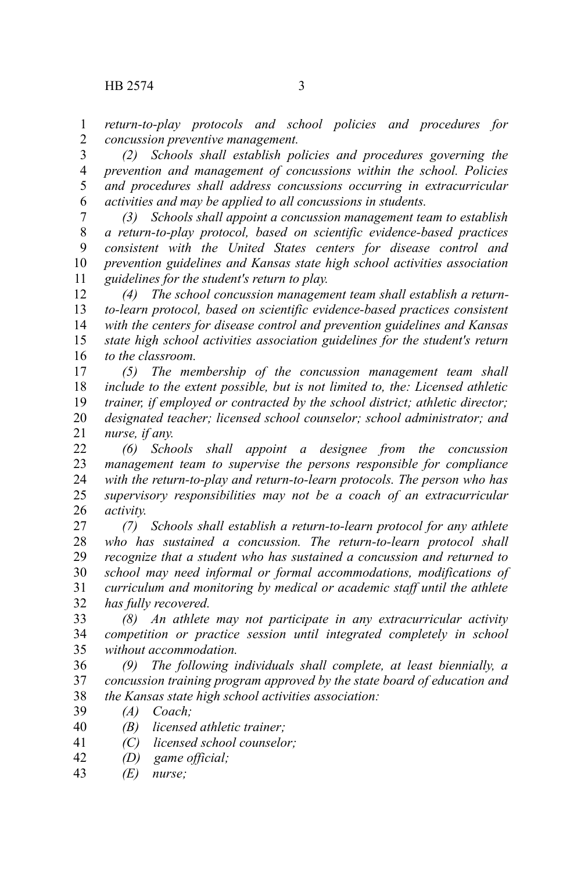*return-to-play protocols and school policies and procedures for concussion preventive management.* 1 2

*(2) Schools shall establish policies and procedures governing the prevention and management of concussions within the school. Policies and procedures shall address concussions occurring in extracurricular activities and may be applied to all concussions in students.* 3 4 5 6

*(3) Schools shall appoint a concussion management team to establish a return-to-play protocol, based on scientific evidence-based practices consistent with the United States centers for disease control and prevention guidelines and Kansas state high school activities association guidelines for the student's return to play.* 7 8 9 10 11

*(4) The school concussion management team shall establish a returnto-learn protocol, based on scientific evidence-based practices consistent with the centers for disease control and prevention guidelines and Kansas state high school activities association guidelines for the student's return to the classroom.* 12 13 14 15 16

*(5) The membership of the concussion management team shall include to the extent possible, but is not limited to, the: Licensed athletic trainer, if employed or contracted by the school district; athletic director; designated teacher; licensed school counselor; school administrator; and nurse, if any.* 17 18 19 20 21

*(6) Schools shall appoint a designee from the concussion management team to supervise the persons responsible for compliance with the return-to-play and return-to-learn protocols. The person who has supervisory responsibilities may not be a coach of an extracurricular activity.* 22 23 24 25 26

*(7) Schools shall establish a return-to-learn protocol for any athlete who has sustained a concussion. The return-to-learn protocol shall recognize that a student who has sustained a concussion and returned to school may need informal or formal accommodations, modifications of curriculum and monitoring by medical or academic staff until the athlete has fully recovered.* 27 28 29 30 31 32

*(8) An athlete may not participate in any extracurricular activity competition or practice session until integrated completely in school without accommodation.* 33 34 35

*(9) The following individuals shall complete, at least biennially, a concussion training program approved by the state board of education and the Kansas state high school activities association:* 36 37 38

*(A) Coach;* 39

*(B) licensed athletic trainer;* 40

- *(C) licensed school counselor;* 41
- *(D) game official;* 42
- *(E) nurse;* 43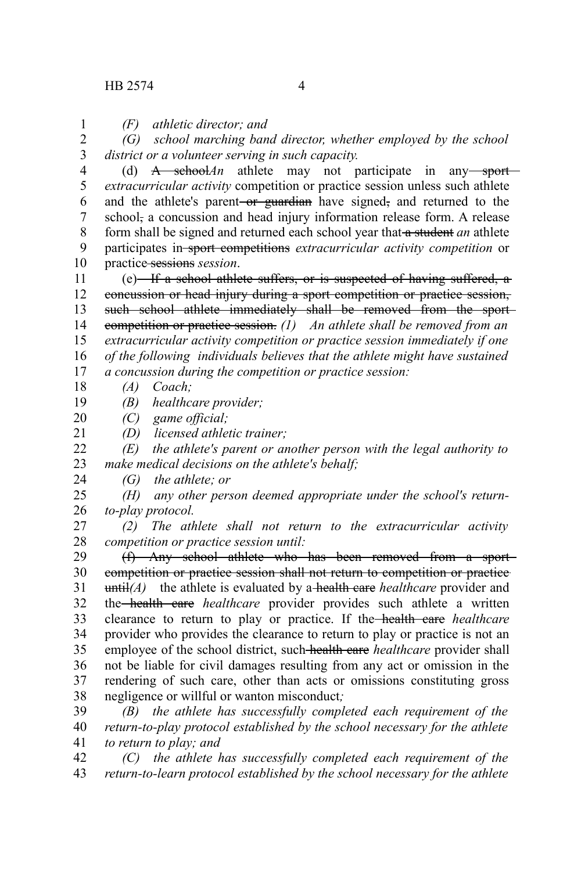1

*(F) athletic director; and*

*(G) school marching band director, whether employed by the school district or a volunteer serving in such capacity.* 2 3

(d)  $A$  school*An* athlete may not participate in any sport*extracurricular activity* competition or practice session unless such athlete and the athlete's parent-or guardian have signed, and returned to the school, a concussion and head injury information release form. A release form shall be signed and returned each school year that a student *an* athlete participates in sport competitions *extracurricular activity competition* or practice sessions *session*. 4 5 6 7 8 9 10

 $(e)$  If a school athlete suffers, or is suspected of having suffered, a concussion or head injury during a sport competition or practice session, such school athlete immediately shall be removed from the sportcompetition or practice session. *(1) An athlete shall be removed from an extracurricular activity competition or practice session immediately if one of the following individuals believes that the athlete might have sustained a concussion during the competition or practice session:* 11 12 13 14 15 16 17

*(A) Coach;* 18

*(B) healthcare provider;* 19

*(C) game official;* 20

*(D) licensed athletic trainer;* 21

*(E) the athlete's parent or another person with the legal authority to make medical decisions on the athlete's behalf;*  $22$ 23

*(G) the athlete; or* 24

*(H) any other person deemed appropriate under the school's returnto-play protocol.* 25 26

*(2) The athlete shall not return to the extracurricular activity competition or practice session until:* 27 28

(f) Any school athlete who has been removed from a sport competition or practice session shall not return to competition or practice until*(A)* the athlete is evaluated by a health care *healthcare* provider and the health care *healthcare* provider provides such athlete a written clearance to return to play or practice. If the health care *healthcare* provider who provides the clearance to return to play or practice is not an employee of the school district, such health care *healthcare* provider shall not be liable for civil damages resulting from any act or omission in the rendering of such care, other than acts or omissions constituting gross negligence or willful or wanton misconduct*;* 29 30 31 32 33 34 35 36 37 38

*(B) the athlete has successfully completed each requirement of the return-to-play protocol established by the school necessary for the athlete to return to play; and* 39 40 41

*(C) the athlete has successfully completed each requirement of the return-to-learn protocol established by the school necessary for the athlete* 42 43